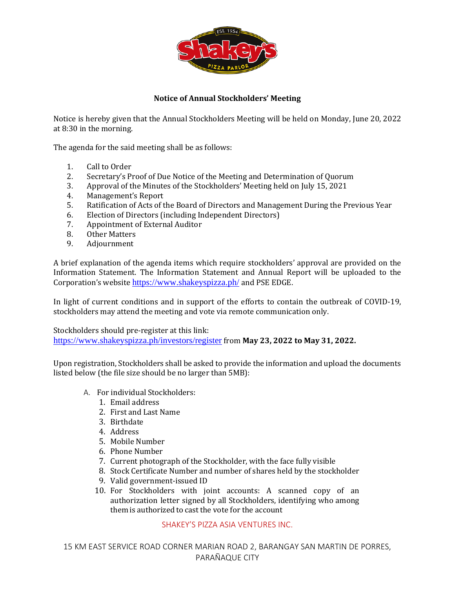

## **Notice of Annual Stockholders' Meeting**

Notice is hereby given that the Annual Stockholders Meeting will be held on Monday, June 20, 2022 at 8:30 in the morning.

The agenda for the said meeting shall be as follows:

- 1. Call to Order
- 2. Secretary's Proof of Due Notice of the Meeting and Determination of Quorum
- 3. Approval of the Minutes of the Stockholders' Meeting held on July 15, 2021
- 4. Management's Report
- 5. Ratification of Acts of the Board of Directors and Management During the Previous Year
- 6. Election of Directors (including Independent Directors)
- 7. Appointment of External Auditor
- 8. Other Matters
- 9. Adjournment

A brief explanation of the agenda items which require stockholders' approval are provided on the Information Statement. The Information Statement and Annual Report will be uploaded to the Corporation's website <https://www.shakeyspizza.ph/> and PSE EDGE.

In light of current conditions and in support of the efforts to contain the outbreak of COVID-19, stockholders may attend the meeting and vote via remote communication only.

Stockholders should pre-register at this link: <https://www.shakeyspizza.ph/investors/register> from **May 23, 2022 to May 31, 2022.**

Upon registration, Stockholders shall be asked to provide the information and upload the documents listed below (the file size should be no larger than 5MB):

- A. For individual Stockholders:
	- 1. Email address
	- 2. First and Last Name
	- 3. Birthdate
	- 4. Address
	- 5. Mobile Number
	- 6. Phone Number
	- 7. Current photograph of the Stockholder, with the face fully visible
	- 8. Stock Certificate Number and number of shares held by the stockholder
	- 9. Valid government-issued ID
	- 10. For Stockholders with joint accounts: A scanned copy of an authorization letter signed by all Stockholders, identifying who among them is authorized to castthe vote for the account

## SHAKEY'S PIZZA ASIA VENTURES INC.

15 KM EAST SERVICE ROAD CORNER MARIAN ROAD 2, BARANGAY SAN MARTIN DE PORRES, PARAÑAQUE CITY